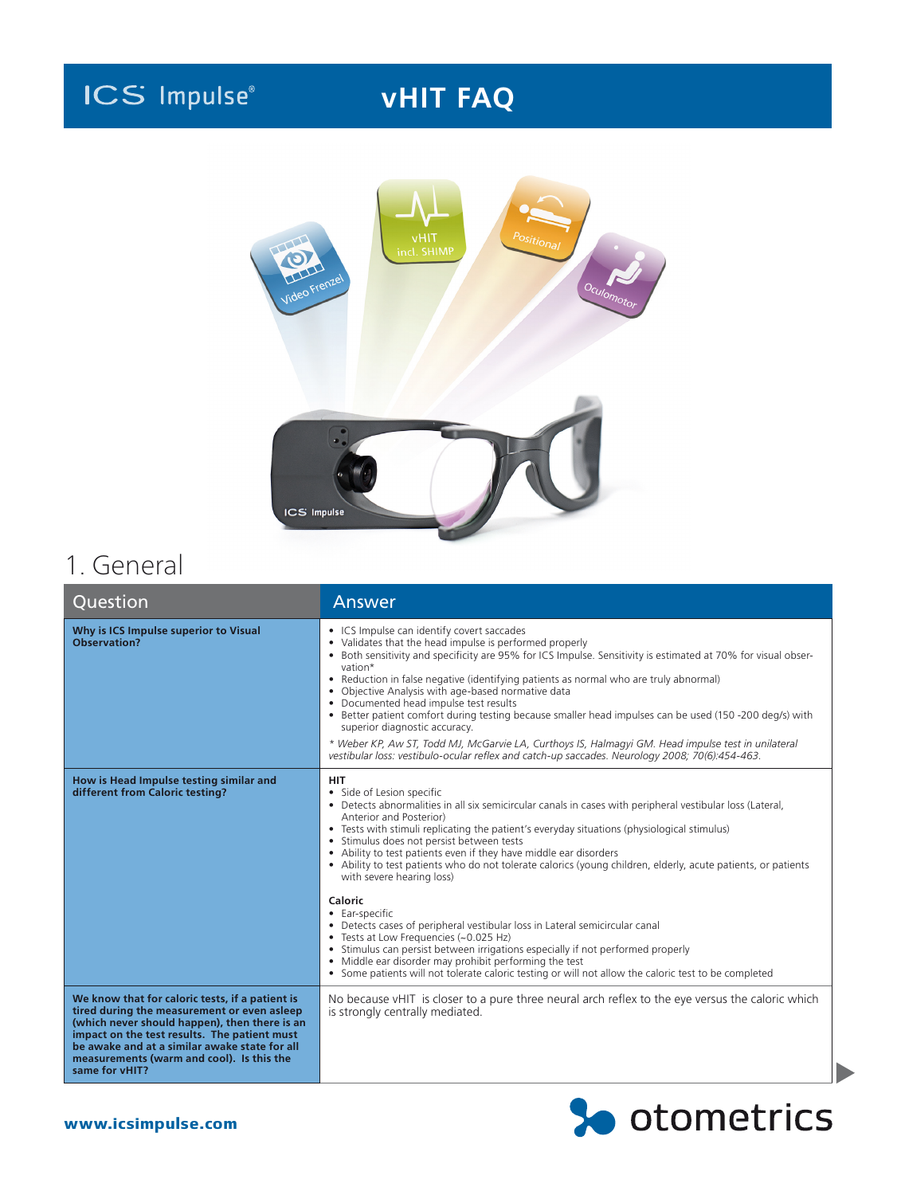# **ICS Impulse**

## **vHIT FAQ**



## 1. General

| Question                                                                                                                                                                                                                                                                                                        | Answer                                                                                                                                                                                                                                                                                                                                                                                                                                                                                                                                                                                                                                                                                                                                                                         |
|-----------------------------------------------------------------------------------------------------------------------------------------------------------------------------------------------------------------------------------------------------------------------------------------------------------------|--------------------------------------------------------------------------------------------------------------------------------------------------------------------------------------------------------------------------------------------------------------------------------------------------------------------------------------------------------------------------------------------------------------------------------------------------------------------------------------------------------------------------------------------------------------------------------------------------------------------------------------------------------------------------------------------------------------------------------------------------------------------------------|
| Why is ICS Impulse superior to Visual<br>Observation?                                                                                                                                                                                                                                                           | • ICS Impulse can identify covert saccades<br>• Validates that the head impulse is performed properly<br>• Both sensitivity and specificity are 95% for ICS Impulse. Sensitivity is estimated at 70% for visual obser-<br>vation*<br>• Reduction in false negative (identifying patients as normal who are truly abnormal)<br>• Objective Analysis with age-based normative data<br>• Documented head impulse test results<br>• Better patient comfort during testing because smaller head impulses can be used (150 -200 deg/s) with<br>superior diagnostic accuracy.<br>* Weber KP, Aw ST, Todd MJ, McGarvie LA, Curthoys IS, Halmagyi GM. Head impulse test in unilateral<br>vestibular loss: vestibulo-ocular reflex and catch-up saccades. Neurology 2008; 70(6):454-463. |
| How is Head Impulse testing similar and<br>different from Caloric testing?                                                                                                                                                                                                                                      | <b>HIT</b><br>• Side of Lesion specific<br>• Detects abnormalities in all six semicircular canals in cases with peripheral vestibular loss (Lateral,<br>Anterior and Posterior)<br>• Tests with stimuli replicating the patient's everyday situations (physiological stimulus)<br>• Stimulus does not persist between tests<br>• Ability to test patients even if they have middle ear disorders<br>• Ability to test patients who do not tolerate calorics (young children, elderly, acute patients, or patients<br>with severe hearing loss)                                                                                                                                                                                                                                 |
|                                                                                                                                                                                                                                                                                                                 | Caloric<br>• Ear-specific<br>• Detects cases of peripheral vestibular loss in Lateral semicircular canal<br>• Tests at Low Frequencies (~0.025 Hz)<br>• Stimulus can persist between irrigations especially if not performed properly<br>• Middle ear disorder may prohibit performing the test<br>• Some patients will not tolerate caloric testing or will not allow the caloric test to be completed                                                                                                                                                                                                                                                                                                                                                                        |
| We know that for caloric tests, if a patient is<br>tired during the measurement or even asleep<br>(which never should happen), then there is an<br>impact on the test results. The patient must<br>be awake and at a similar awake state for all<br>measurements (warm and cool). Is this the<br>same for vHIT? | No because vHIT is closer to a pure three neural arch reflex to the eye versus the caloric which<br>is strongly centrally mediated.                                                                                                                                                                                                                                                                                                                                                                                                                                                                                                                                                                                                                                            |

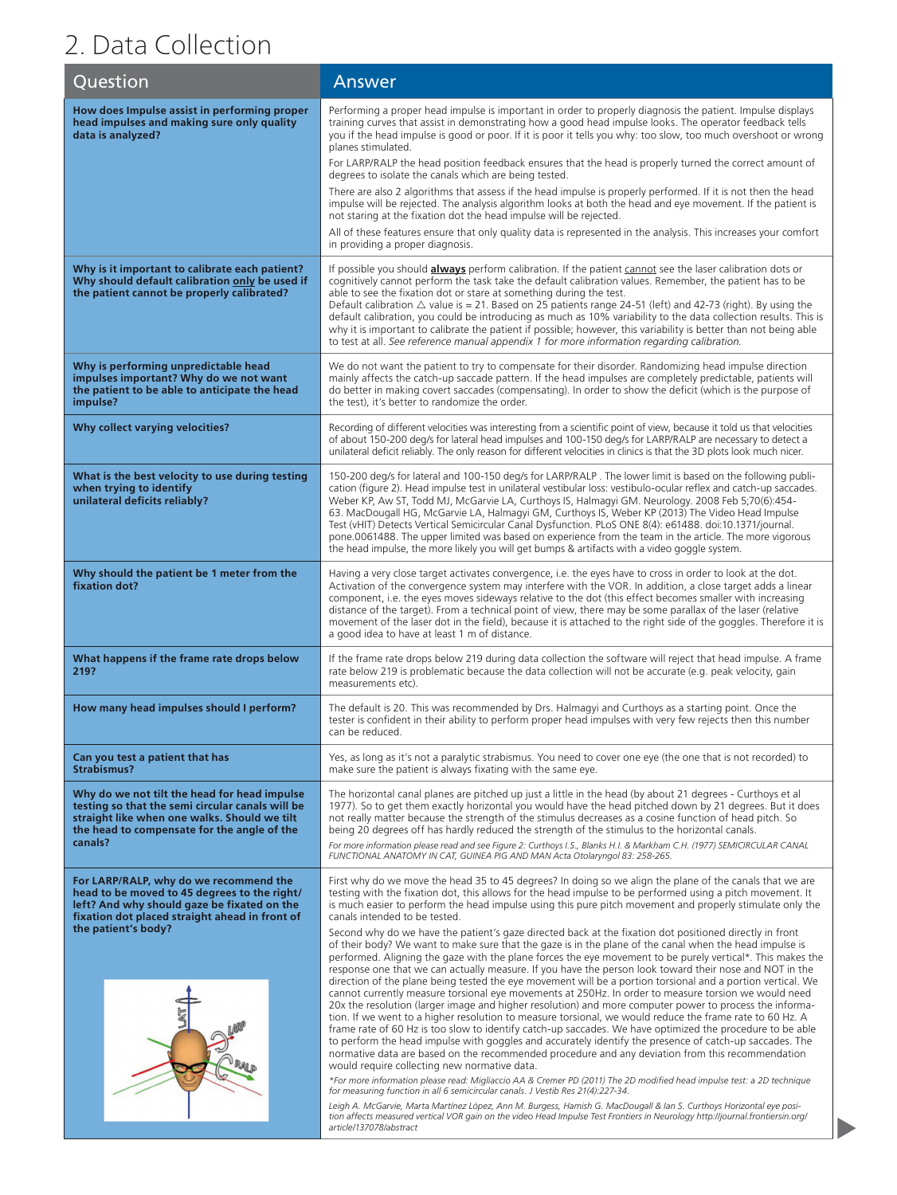## 2. Data Collection

| Question                                                                                                                                                                                                       | Answer                                                                                                                                                                                                                                                                                                                                                                                                                                                                                                                                                                                                                                                                                                                                                                                                                                                                                                                                                                                                                                                                                                                                                                                                                                                                                                                                                                                                                                                                                                                                                                                                                                                                                                                                                                                                                                                    |
|----------------------------------------------------------------------------------------------------------------------------------------------------------------------------------------------------------------|-----------------------------------------------------------------------------------------------------------------------------------------------------------------------------------------------------------------------------------------------------------------------------------------------------------------------------------------------------------------------------------------------------------------------------------------------------------------------------------------------------------------------------------------------------------------------------------------------------------------------------------------------------------------------------------------------------------------------------------------------------------------------------------------------------------------------------------------------------------------------------------------------------------------------------------------------------------------------------------------------------------------------------------------------------------------------------------------------------------------------------------------------------------------------------------------------------------------------------------------------------------------------------------------------------------------------------------------------------------------------------------------------------------------------------------------------------------------------------------------------------------------------------------------------------------------------------------------------------------------------------------------------------------------------------------------------------------------------------------------------------------------------------------------------------------------------------------------------------------|
| How does Impulse assist in performing proper<br>head impulses and making sure only quality<br>data is analyzed?                                                                                                | Performing a proper head impulse is important in order to properly diagnosis the patient. Impulse displays<br>training curves that assist in demonstrating how a good head impulse looks. The operator feedback tells<br>you if the head impulse is good or poor. If it is poor it tells you why: too slow, too much overshoot or wrong<br>planes stimulated.<br>For LARP/RALP the head position feedback ensures that the head is properly turned the correct amount of<br>degrees to isolate the canals which are being tested.<br>There are also 2 algorithms that assess if the head impulse is properly performed. If it is not then the head                                                                                                                                                                                                                                                                                                                                                                                                                                                                                                                                                                                                                                                                                                                                                                                                                                                                                                                                                                                                                                                                                                                                                                                                        |
|                                                                                                                                                                                                                | impulse will be rejected. The analysis algorithm looks at both the head and eye movement. If the patient is<br>not staring at the fixation dot the head impulse will be rejected.<br>All of these features ensure that only quality data is represented in the analysis. This increases your comfort<br>in providing a proper diagnosis.                                                                                                                                                                                                                                                                                                                                                                                                                                                                                                                                                                                                                                                                                                                                                                                                                                                                                                                                                                                                                                                                                                                                                                                                                                                                                                                                                                                                                                                                                                                  |
| Why is it important to calibrate each patient?<br>Why should default calibration only be used if<br>the patient cannot be properly calibrated?                                                                 | If possible you should <b>always</b> perform calibration. If the patient cannot see the laser calibration dots or<br>cognitively cannot perform the task take the default calibration values. Remember, the patient has to be<br>able to see the fixation dot or stare at something during the test.<br>Default calibration $\triangle$ value is = 21. Based on 25 patients range 24-51 (left) and 42-73 (right). By using the<br>default calibration, you could be introducing as much as 10% variability to the data collection results. This is<br>why it is important to calibrate the patient if possible; however, this variability is better than not being able<br>to test at all. See reference manual appendix 1 for more information regarding calibration.                                                                                                                                                                                                                                                                                                                                                                                                                                                                                                                                                                                                                                                                                                                                                                                                                                                                                                                                                                                                                                                                                    |
| Why is performing unpredictable head<br>impulses important? Why do we not want<br>the patient to be able to anticipate the head<br>impulse?                                                                    | We do not want the patient to try to compensate for their disorder. Randomizing head impulse direction<br>mainly affects the catch-up saccade pattern. If the head impulses are completely predictable, patients will<br>do better in making covert saccades (compensating). In order to show the deficit (which is the purpose of<br>the test), it's better to randomize the order.                                                                                                                                                                                                                                                                                                                                                                                                                                                                                                                                                                                                                                                                                                                                                                                                                                                                                                                                                                                                                                                                                                                                                                                                                                                                                                                                                                                                                                                                      |
| Why collect varying velocities?                                                                                                                                                                                | Recording of different velocities was interesting from a scientific point of view, because it told us that velocities<br>of about 150-200 deg/s for lateral head impulses and 100-150 deg/s for LARP/RALP are necessary to detect a<br>unilateral deficit reliably. The only reason for different velocities in clinics is that the 3D plots look much nicer.                                                                                                                                                                                                                                                                                                                                                                                                                                                                                                                                                                                                                                                                                                                                                                                                                                                                                                                                                                                                                                                                                                                                                                                                                                                                                                                                                                                                                                                                                             |
| What is the best velocity to use during testing<br>when trying to identify<br>unilateral deficits reliably?                                                                                                    | 150-200 deg/s for lateral and 100-150 deg/s for LARP/RALP. The lower limit is based on the following publi-<br>cation (figure 2). Head impulse test in unilateral vestibular loss: vestibulo-ocular reflex and catch-up saccades.<br>Weber KP, Aw ST, Todd MJ, McGarvie LA, Curthoys IS, Halmagyi GM. Neurology. 2008 Feb 5;70(6):454-<br>63. MacDougall HG, McGarvie LA, Halmagyi GM, Curthoys IS, Weber KP (2013) The Video Head Impulse<br>Test (vHIT) Detects Vertical Semicircular Canal Dysfunction. PLoS ONE 8(4): e61488. doi:10.1371/journal.<br>pone.0061488. The upper limited was based on experience from the team in the article. The more vigorous<br>the head impulse, the more likely you will get bumps & artifacts with a video goggle system.                                                                                                                                                                                                                                                                                                                                                                                                                                                                                                                                                                                                                                                                                                                                                                                                                                                                                                                                                                                                                                                                                         |
| Why should the patient be 1 meter from the<br>fixation dot?                                                                                                                                                    | Having a very close target activates convergence, i.e. the eyes have to cross in order to look at the dot.<br>Activation of the convergence system may interfere with the VOR. In addition, a close target adds a linear<br>component, i.e. the eyes moves sideways relative to the dot (this effect becomes smaller with increasing<br>distance of the target). From a technical point of view, there may be some parallax of the laser (relative<br>movement of the laser dot in the field), because it is attached to the right side of the goggles. Therefore it is<br>a good idea to have at least 1 m of distance.                                                                                                                                                                                                                                                                                                                                                                                                                                                                                                                                                                                                                                                                                                                                                                                                                                                                                                                                                                                                                                                                                                                                                                                                                                  |
| What happens if the frame rate drops below<br>219?                                                                                                                                                             | If the frame rate drops below 219 during data collection the software will reject that head impulse. A frame<br>rate below 219 is problematic because the data collection will not be accurate (e.g. peak velocity, gain<br>measurements etc).                                                                                                                                                                                                                                                                                                                                                                                                                                                                                                                                                                                                                                                                                                                                                                                                                                                                                                                                                                                                                                                                                                                                                                                                                                                                                                                                                                                                                                                                                                                                                                                                            |
| How many head impulses should I perform?                                                                                                                                                                       | The default is 20. This was recommended by Drs. Halmagyi and Curthoys as a starting point. Once the<br>tester is confident in their ability to perform proper head impulses with very few rejects then this number<br>can be reduced.                                                                                                                                                                                                                                                                                                                                                                                                                                                                                                                                                                                                                                                                                                                                                                                                                                                                                                                                                                                                                                                                                                                                                                                                                                                                                                                                                                                                                                                                                                                                                                                                                     |
| Can you test a patient that has<br>Strabismus?                                                                                                                                                                 | Yes, as long as it's not a paralytic strabismus. You need to cover one eye (the one that is not recorded) to<br>make sure the patient is always fixating with the same eye.                                                                                                                                                                                                                                                                                                                                                                                                                                                                                                                                                                                                                                                                                                                                                                                                                                                                                                                                                                                                                                                                                                                                                                                                                                                                                                                                                                                                                                                                                                                                                                                                                                                                               |
| Why do we not tilt the head for head impulse<br>testing so that the semi circular canals will be<br>straight like when one walks. Should we tilt<br>the head to compensate for the angle of the<br>canals?     | The horizontal canal planes are pitched up just a little in the head (by about 21 degrees - Curthoys et al<br>1977). So to get them exactly horizontal you would have the head pitched down by 21 degrees. But it does<br>not really matter because the strength of the stimulus decreases as a cosine function of head pitch. So<br>being 20 degrees off has hardly reduced the strength of the stimulus to the horizontal canals.<br>For more information please read and see Figure 2: Curthoys I.S., Blanks H.I. & Markham C.H. (1977) SEMICIRCULAR CANAL<br>FUNCTIONAL ANATOMY IN CAT, GUINEA PIG AND MAN Acta Otolaryngol 83: 258-265.                                                                                                                                                                                                                                                                                                                                                                                                                                                                                                                                                                                                                                                                                                                                                                                                                                                                                                                                                                                                                                                                                                                                                                                                              |
| For LARP/RALP, why do we recommend the<br>head to be moved to 45 degrees to the right/<br>left? And why should gaze be fixated on the<br>fixation dot placed straight ahead in front of<br>the patient's body? | First why do we move the head 35 to 45 degrees? In doing so we align the plane of the canals that we are<br>testing with the fixation dot, this allows for the head impulse to be performed using a pitch movement. It<br>is much easier to perform the head impulse using this pure pitch movement and properly stimulate only the<br>canals intended to be tested.<br>Second why do we have the patient's gaze directed back at the fixation dot positioned directly in front<br>of their body? We want to make sure that the gaze is in the plane of the canal when the head impulse is<br>performed. Aligning the gaze with the plane forces the eye movement to be purely vertical*. This makes the<br>response one that we can actually measure. If you have the person look toward their nose and NOT in the<br>direction of the plane being tested the eye movement will be a portion torsional and a portion vertical. We<br>cannot currently measure torsional eye movements at 250Hz. In order to measure torsion we would need<br>20x the resolution (larger image and higher resolution) and more computer power to process the informa-<br>tion. If we went to a higher resolution to measure torsional, we would reduce the frame rate to 60 Hz. A<br>frame rate of 60 Hz is too slow to identify catch-up saccades. We have optimized the procedure to be able<br>to perform the head impulse with goggles and accurately identify the presence of catch-up saccades. The<br>normative data are based on the recommended procedure and any deviation from this recommendation<br>would require collecting new normative data.<br>*For more information please read: Migliaccio AA & Cremer PD (2011) The 2D modified head impulse test: a 2D technique<br>for measuring function in all 6 semicircular canals. J Vestib Res 21(4):227-34. |
|                                                                                                                                                                                                                | Leigh A. McGarvie, Marta Martínez López, Ann M. Burgess, Hamish G. MacDougall & Ian S. Curthoys Horizontal eye posi-<br>tion affects measured vertical VOR gain on the video Head Impulse Test Frontiers in Neurology http://journal.frontiersin.org/<br>article/137078/abstract                                                                                                                                                                                                                                                                                                                                                                                                                                                                                                                                                                                                                                                                                                                                                                                                                                                                                                                                                                                                                                                                                                                                                                                                                                                                                                                                                                                                                                                                                                                                                                          |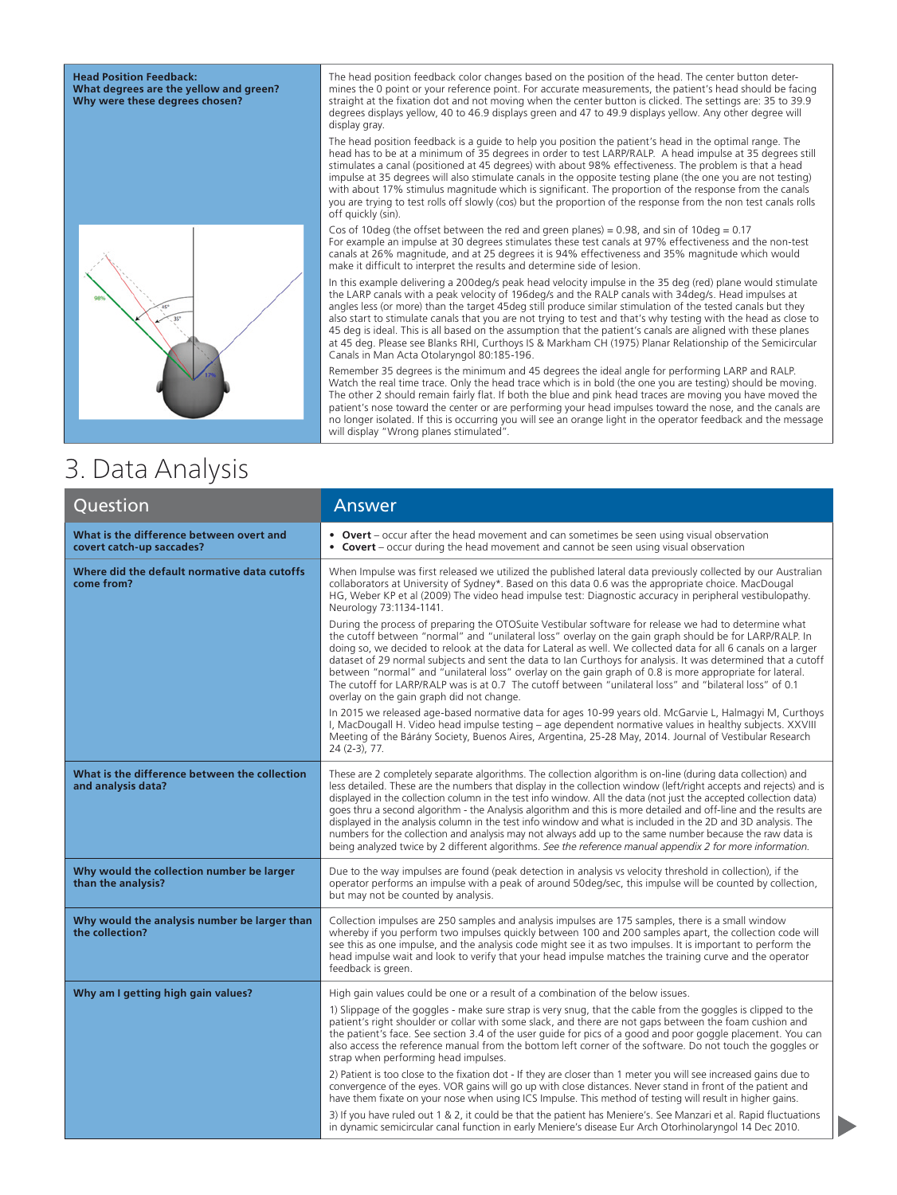#### **Head Position Feedback: What degrees are the yellow and green? Why were these degrees chosen?**



The head position feedback color changes based on the position of the head. The center button determines the 0 point or your reference point. For accurate measurements, the patient's head should be facing straight at the fixation dot and not moving when the center button is clicked. The settings are: 35 to 39.9 degrees displays yellow, 40 to 46.9 displays green and 47 to 49.9 displays yellow. Any other degree will display gray.

The head position feedback is a guide to help you position the patient's head in the optimal range. The head has to be at a minimum of 35 degrees in order to test LARP/RALP. A head impulse at 35 degrees still stimulates a canal (positioned at 45 degrees) with about 98% effectiveness. The problem is that a head impulse at 35 degrees will also stimulate canals in the opposite testing plane (the one you are not testing) with about 17% stimulus magnitude which is significant. The proportion of the response from the canals you are trying to test rolls off slowly (cos) but the proportion of the response from the non test canals rolls off quickly (sin).

Cos of 10deg (the offset between the red and green planes) = 0.98, and sin of 10deg = 0.17 For example an impulse at 30 degrees stimulates these test canals at 97% effectiveness and the non-test canals at 26% magnitude, and at 25 degrees it is 94% effectiveness and 35% magnitude which would make it difficult to interpret the results and determine side of lesion.

In this example delivering a 200deg/s peak head velocity impulse in the 35 deg (red) plane would stimulate the LARP canals with a peak velocity of 196deg/s and the RALP canals with 34deg/s. Head impulses at angles less (or more) than the target 45deg still produce similar stimulation of the tested canals but they also start to stimulate canals that you are not trying to test and that's why testing with the head as close to 45 deg is ideal. This is all based on the assumption that the patient's canals are aligned with these planes at 45 deg. Please see Blanks RHI, Curthoys IS & Markham CH (1975) Planar Relationship of the Semicircular Canals in Man Acta Otolaryngol 80:185-196.

Remember 35 degrees is the minimum and 45 degrees the ideal angle for performing LARP and RALP. Watch the real time trace. Only the head trace which is in bold (the one you are testing) should be moving. The other 2 should remain fairly flat. If both the blue and pink head traces are moving you have moved the patient's nose toward the center or are performing your head impulses toward the nose, and the canals are no longer isolated. If this is occurring you will see an orange light in the operator feedback and the message will display "Wrong planes stimulated".

### 3. Data Analysis

| Question                                                              | Answer                                                                                                                                                                                                                                                                                                                                                                                                                                                                                                                                                                                                                                                                                                                                                                                                              |
|-----------------------------------------------------------------------|---------------------------------------------------------------------------------------------------------------------------------------------------------------------------------------------------------------------------------------------------------------------------------------------------------------------------------------------------------------------------------------------------------------------------------------------------------------------------------------------------------------------------------------------------------------------------------------------------------------------------------------------------------------------------------------------------------------------------------------------------------------------------------------------------------------------|
| What is the difference between overt and<br>covert catch-up saccades? | • Overt – occur after the head movement and can sometimes be seen using visual observation<br>• Covert – occur during the head movement and cannot be seen using visual observation                                                                                                                                                                                                                                                                                                                                                                                                                                                                                                                                                                                                                                 |
| Where did the default normative data cutoffs<br>come from?            | When Impulse was first released we utilized the published lateral data previously collected by our Australian<br>collaborators at University of Sydney*. Based on this data 0.6 was the appropriate choice. MacDougal<br>HG, Weber KP et al (2009) The video head impulse test: Diagnostic accuracy in peripheral vestibulopathy.<br>Neurology 73:1134-1141.                                                                                                                                                                                                                                                                                                                                                                                                                                                        |
|                                                                       | During the process of preparing the OTOSuite Vestibular software for release we had to determine what<br>the cutoff between "normal" and "unilateral loss" overlay on the gain graph should be for LARP/RALP. In<br>doing so, we decided to relook at the data for Lateral as well. We collected data for all 6 canals on a larger<br>dataset of 29 normal subjects and sent the data to Ian Curthoys for analysis. It was determined that a cutoff<br>between "normal" and "unilateral loss" overlay on the gain graph of 0.8 is more appropriate for lateral.<br>The cutoff for LARP/RALP was is at 0.7 The cutoff between "unilateral loss" and "bilateral loss" of 0.1<br>overlay on the gain graph did not change.                                                                                             |
|                                                                       | In 2015 we released age-based normative data for ages 10-99 years old. McGarvie L, Halmagyi M, Curthoys<br>I, MacDougall H. Video head impulse testing – age dependent normative values in healthy subjects. XXVIII<br>Meeting of the Bárány Society, Buenos Aires, Argentina, 25-28 May, 2014. Journal of Vestibular Research<br>24 (2-3), 77.                                                                                                                                                                                                                                                                                                                                                                                                                                                                     |
| What is the difference between the collection<br>and analysis data?   | These are 2 completely separate algorithms. The collection algorithm is on-line (during data collection) and<br>less detailed. These are the numbers that display in the collection window (left/right accepts and rejects) and is<br>displayed in the collection column in the test info window. All the data (not just the accepted collection data)<br>goes thru a second algorithm - the Analysis algorithm and this is more detailed and off-line and the results are<br>displayed in the analysis column in the test info window and what is included in the 2D and 3D analysis. The<br>numbers for the collection and analysis may not always add up to the same number because the raw data is<br>being analyzed twice by 2 different algorithms. See the reference manual appendix 2 for more information. |
| Why would the collection number be larger<br>than the analysis?       | Due to the way impulses are found (peak detection in analysis vs velocity threshold in collection), if the<br>operator performs an impulse with a peak of around 50deg/sec, this impulse will be counted by collection,<br>but may not be counted by analysis.                                                                                                                                                                                                                                                                                                                                                                                                                                                                                                                                                      |
| Why would the analysis number be larger than<br>the collection?       | Collection impulses are 250 samples and analysis impulses are 175 samples, there is a small window<br>whereby if you perform two impulses quickly between 100 and 200 samples apart, the collection code will<br>see this as one impulse, and the analysis code might see it as two impulses. It is important to perform the<br>head impulse wait and look to verify that your head impulse matches the training curve and the operator<br>feedback is green.                                                                                                                                                                                                                                                                                                                                                       |
| Why am I getting high gain values?                                    | High gain values could be one or a result of a combination of the below issues.                                                                                                                                                                                                                                                                                                                                                                                                                                                                                                                                                                                                                                                                                                                                     |
|                                                                       | 1) Slippage of the goggles - make sure strap is very snug, that the cable from the goggles is clipped to the<br>patient's right shoulder or collar with some slack, and there are not gaps between the foam cushion and<br>the patient's face. See section 3.4 of the user quide for pics of a good and poor goggle placement. You can<br>also access the reference manual from the bottom left corner of the software. Do not touch the goggles or<br>strap when performing head impulses.                                                                                                                                                                                                                                                                                                                         |
|                                                                       | 2) Patient is too close to the fixation dot - If they are closer than 1 meter you will see increased gains due to<br>convergence of the eyes. VOR gains will go up with close distances. Never stand in front of the patient and<br>have them fixate on your nose when using ICS Impulse. This method of testing will result in higher gains.                                                                                                                                                                                                                                                                                                                                                                                                                                                                       |
|                                                                       | 3) If you have ruled out 1 & 2, it could be that the patient has Meniere's. See Manzari et al. Rapid fluctuations<br>in dynamic semicircular canal function in early Meniere's disease Eur Arch Otorhinolaryngol 14 Dec 2010.                                                                                                                                                                                                                                                                                                                                                                                                                                                                                                                                                                                       |